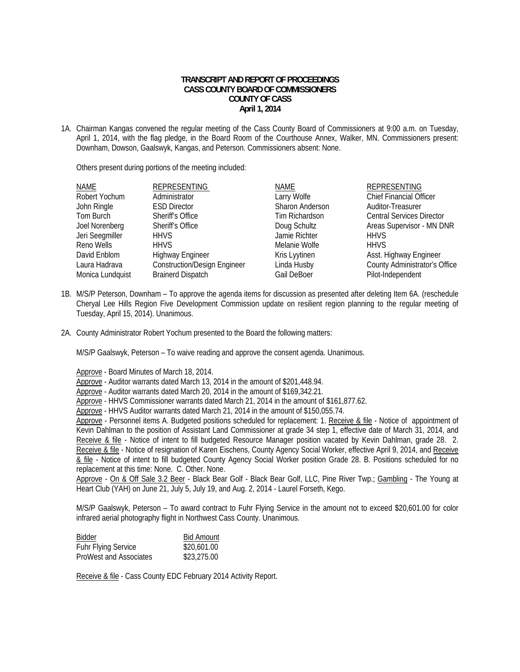## **TRANSCRIPT AND REPORT OF PROCEEDINGS CASS COUNTY BOARD OF COMMISSIONERS COUNTY OF CASS April 1, 2014**

1A. Chairman Kangas convened the regular meeting of the Cass County Board of Commissioners at 9:00 a.m. on Tuesday, April 1, 2014, with the flag pledge, in the Board Room of the Courthouse Annex, Walker, MN. Commissioners present: Downham, Dowson, Gaalswyk, Kangas, and Peterson. Commissioners absent: None.

Others present during portions of the meeting included:

| <b>NAME</b>      | REPRESENTING                        | NAME            | <b>REPRESENTING</b>              |
|------------------|-------------------------------------|-----------------|----------------------------------|
| Robert Yochum    | Administrator                       | Larry Wolfe     | <b>Chief Financial Officer</b>   |
| John Ringle      | <b>ESD Director</b>                 | Sharon Anderson | Auditor-Treasurer                |
| Tom Burch        | Sheriff's Office                    | Tim Richardson  | <b>Central Services Director</b> |
| Joel Norenberg   | Sheriff's Office                    | Doug Schultz    | Areas Supervisor - MN DNR        |
| Jeri Seegmiller  | <b>HHVS</b>                         | Jamie Richter   | <b>HHVS</b>                      |
| Reno Wells       | <b>HHVS</b>                         | Melanie Wolfe   | <b>HHVS</b>                      |
| David Enblom     | <b>Highway Engineer</b>             | Kris Lyytinen   | Asst. Highway Engineer           |
| Laura Hadrava    | <b>Construction/Design Engineer</b> | Linda Husby     | County Administrator's Office    |
| Monica Lundquist | <b>Brainerd Dispatch</b>            | Gail DeBoer     | Pilot-Independent                |

- 1B. M/S/P Peterson, Downham To approve the agenda items for discussion as presented after deleting Item 6A. (reschedule Cheryal Lee Hills Region Five Development Commission update on resilient region planning to the regular meeting of Tuesday, April 15, 2014). Unanimous.
- 2A. County Administrator Robert Yochum presented to the Board the following matters:

M/S/P Gaalswyk, Peterson – To waive reading and approve the consent agenda. Unanimous.

Approve - Board Minutes of March 18, 2014.

Approve - Auditor warrants dated March 13, 2014 in the amount of \$201,448.94.

Approve - Auditor warrants dated March 20, 2014 in the amount of \$169,342.21.

Approve - HHVS Commissioner warrants dated March 21, 2014 in the amount of \$161,877.62.

Approve - HHVS Auditor warrants dated March 21, 2014 in the amount of \$150,055.74.

Approve - Personnel items A. Budgeted positions scheduled for replacement: 1. Receive & file - Notice of appointment of Kevin Dahlman to the position of Assistant Land Commissioner at grade 34 step 1, effective date of March 31, 2014, and Receive & file - Notice of intent to fill budgeted Resource Manager position vacated by Kevin Dahlman, grade 28. 2. Receive & file - Notice of resignation of Karen Eischens, County Agency Social Worker, effective April 9, 2014, and Receive & file - Notice of intent to fill budgeted County Agency Social Worker position Grade 28. B. Positions scheduled for no replacement at this time: None. C. Other. None.

Approve - On & Off Sale 3.2 Beer - Black Bear Golf - Black Bear Golf, LLC, Pine River Twp.; Gambling - The Young at Heart Club (YAH) on June 21, July 5, July 19, and Aug. 2, 2014 - Laurel Forseth, Kego.

 M/S/P Gaalswyk, Peterson – To award contract to Fuhr Flying Service in the amount not to exceed \$20,601.00 for color infrared aerial photography flight in Northwest Cass County. Unanimous.

| Bidder                     | <b>Bid Amount</b> |
|----------------------------|-------------------|
| <b>Fuhr Flying Service</b> | \$20,601.00       |
| ProWest and Associates     | \$23,275.00       |

Receive & file - Cass County EDC February 2014 Activity Report.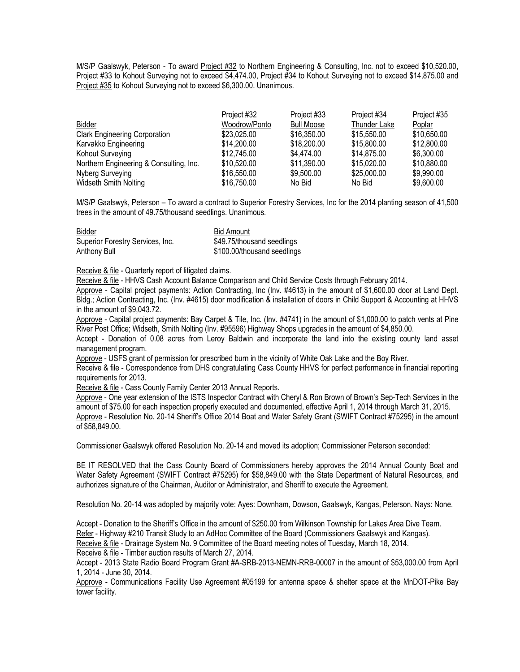M/S/P Gaalswyk, Peterson - To award Project #32 to Northern Engineering & Consulting, Inc. not to exceed \$10,520.00, Project #33 to Kohout Surveying not to exceed \$4,474.00, Project #34 to Kohout Surveying not to exceed \$14,875.00 and Project #35 to Kohout Surveying not to exceed \$6,300.00. Unanimous.

|                                         | Project #32   | Project #33       | Project #34  | Project #35 |
|-----------------------------------------|---------------|-------------------|--------------|-------------|
| Bidder                                  | Woodrow/Ponto | <b>Bull Moose</b> | Thunder Lake | Poplar      |
| <b>Clark Engineering Corporation</b>    | \$23,025.00   | \$16,350,00       | \$15,550.00  | \$10,650.00 |
| Karvakko Engineering                    | \$14,200.00   | \$18,200.00       | \$15,800.00  | \$12,800.00 |
| Kohout Surveying                        | \$12,745.00   | \$4.474.00        | \$14,875,00  | \$6,300.00  |
| Northern Engineering & Consulting, Inc. | \$10,520.00   | \$11,390.00       | \$15,020.00  | \$10,880.00 |
| Nyberg Surveying                        | \$16,550.00   | \$9,500.00        | \$25,000.00  | \$9,990.00  |
| Widseth Smith Nolting                   | \$16,750.00   | No Bid            | No Bid       | \$9,600.00  |

M/S/P Gaalswyk, Peterson – To award a contract to Superior Forestry Services, Inc for the 2014 planting season of 41,500 trees in the amount of 49.75/thousand seedlings. Unanimous.

| Bidder                           | <b>Bid Amount</b>           |
|----------------------------------|-----------------------------|
| Superior Forestry Services, Inc. | \$49.75/thousand seedlings  |
| Anthony Bull                     | \$100.00/thousand seedlings |

Receive & file - Quarterly report of litigated claims.

Receive & file - HHVS Cash Account Balance Comparison and Child Service Costs through February 2014.

Approve - Capital project payments: Action Contracting, Inc (Inv. #4613) in the amount of \$1,600.00 door at Land Dept. Bldg.; Action Contracting, Inc. (Inv. #4615) door modification & installation of doors in Child Support & Accounting at HHVS in the amount of \$9,043.72.

Approve - Capital project payments: Bay Carpet & Tile, Inc. (Inv. #4741) in the amount of \$1,000.00 to patch vents at Pine River Post Office; Widseth, Smith Nolting (Inv. #95596) Highway Shops upgrades in the amount of \$4,850.00.

Accept - Donation of 0.08 acres from Leroy Baldwin and incorporate the land into the existing county land asset management program.

Approve - USFS grant of permission for prescribed burn in the vicinity of White Oak Lake and the Boy River.

Receive & file - Correspondence from DHS congratulating Cass County HHVS for perfect performance in financial reporting requirements for 2013.

Receive & file - Cass County Family Center 2013 Annual Reports.

Approve - One year extension of the ISTS Inspector Contract with Cheryl & Ron Brown of Brown's Sep-Tech Services in the amount of \$75.00 for each inspection properly executed and documented, effective April 1, 2014 through March 31, 2015. Approve - Resolution No. 20-14 Sheriff's Office 2014 Boat and Water Safety Grant (SWIFT Contract #75295) in the amount of \$58,849.00.

Commissioner Gaalswyk offered Resolution No. 20-14 and moved its adoption; Commissioner Peterson seconded:

BE IT RESOLVED that the Cass County Board of Commissioners hereby approves the 2014 Annual County Boat and Water Safety Agreement (SWIFT Contract #75295) for \$58,849.00 with the State Department of Natural Resources, and authorizes signature of the Chairman, Auditor or Administrator, and Sheriff to execute the Agreement.

Resolution No. 20-14 was adopted by majority vote: Ayes: Downham, Dowson, Gaalswyk, Kangas, Peterson. Nays: None.

Accept - Donation to the Sheriff's Office in the amount of \$250.00 from Wilkinson Township for Lakes Area Dive Team. Refer - Highway #210 Transit Study to an AdHoc Committee of the Board (Commissioners Gaalswyk and Kangas). Receive & file - Drainage System No. 9 Committee of the Board meeting notes of Tuesday, March 18, 2014.

Receive & file - Timber auction results of March 27, 2014.

Accept - 2013 State Radio Board Program Grant #A-SRB-2013-NEMN-RRB-00007 in the amount of \$53,000.00 from April 1, 2014 - June 30, 2014.

Approve - Communications Facility Use Agreement #05199 for antenna space & shelter space at the MnDOT-Pike Bay tower facility.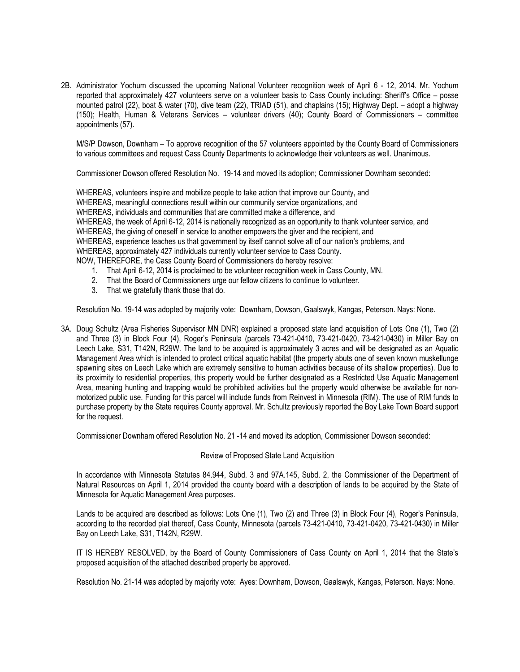2B. Administrator Yochum discussed the upcoming National Volunteer recognition week of April 6 - 12, 2014. Mr. Yochum reported that approximately 427 volunteers serve on a volunteer basis to Cass County including: Sheriff's Office – posse mounted patrol (22), boat & water (70), dive team (22), TRIAD (51), and chaplains (15); Highway Dept. – adopt a highway (150); Health, Human & Veterans Services – volunteer drivers (40); County Board of Commissioners – committee appointments (57).

M/S/P Dowson, Downham – To approve recognition of the 57 volunteers appointed by the County Board of Commissioners to various committees and request Cass County Departments to acknowledge their volunteers as well. Unanimous.

Commissioner Dowson offered Resolution No. 19-14 and moved its adoption; Commissioner Downham seconded:

WHEREAS, volunteers inspire and mobilize people to take action that improve our County, and WHEREAS, meaningful connections result within our community service organizations, and WHEREAS, individuals and communities that are committed make a difference, and WHEREAS, the week of April 6-12, 2014 is nationally recognized as an opportunity to thank volunteer service, and WHEREAS, the giving of oneself in service to another empowers the giver and the recipient, and WHEREAS, experience teaches us that government by itself cannot solve all of our nation's problems, and WHEREAS, approximately 427 individuals currently volunteer service to Cass County. NOW, THEREFORE, the Cass County Board of Commissioners do hereby resolve:

- 1. That April 6-12, 2014 is proclaimed to be volunteer recognition week in Cass County, MN.
- 2. That the Board of Commissioners urge our fellow citizens to continue to volunteer.
- 3. That we gratefully thank those that do.

Resolution No. 19-14 was adopted by majority vote: Downham, Dowson, Gaalswyk, Kangas, Peterson. Nays: None.

3A. Doug Schultz (Area Fisheries Supervisor MN DNR) explained a proposed state land acquisition of Lots One (1), Two (2) and Three (3) in Block Four (4), Roger's Peninsula (parcels 73-421-0410, 73-421-0420, 73-421-0430) in Miller Bay on Leech Lake, S31, T142N, R29W. The land to be acquired is approximately 3 acres and will be designated as an Aquatic Management Area which is intended to protect critical aquatic habitat (the property abuts one of seven known muskellunge spawning sites on Leech Lake which are extremely sensitive to human activities because of its shallow properties). Due to its proximity to residential properties, this property would be further designated as a Restricted Use Aquatic Management Area, meaning hunting and trapping would be prohibited activities but the property would otherwise be available for nonmotorized public use. Funding for this parcel will include funds from Reinvest in Minnesota (RIM). The use of RIM funds to purchase property by the State requires County approval. Mr. Schultz previously reported the Boy Lake Town Board support for the request.

Commissioner Downham offered Resolution No. 21 -14 and moved its adoption, Commissioner Dowson seconded:

Review of Proposed State Land Acquisition

In accordance with Minnesota Statutes 84.944, Subd. 3 and 97A.145, Subd. 2, the Commissioner of the Department of Natural Resources on April 1, 2014 provided the county board with a description of lands to be acquired by the State of Minnesota for Aquatic Management Area purposes.

Lands to be acquired are described as follows: Lots One (1), Two (2) and Three (3) in Block Four (4), Roger's Peninsula, according to the recorded plat thereof, Cass County, Minnesota (parcels 73-421-0410, 73-421-0420, 73-421-0430) in Miller Bay on Leech Lake, S31, T142N, R29W.

IT IS HEREBY RESOLVED, by the Board of County Commissioners of Cass County on April 1, 2014 that the State's proposed acquisition of the attached described property be approved.

Resolution No. 21-14 was adopted by majority vote: Ayes: Downham, Dowson, Gaalswyk, Kangas, Peterson. Nays: None.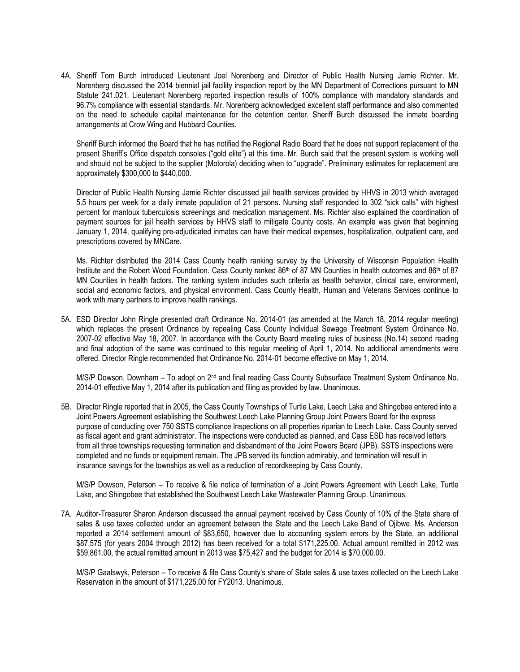4A. Sheriff Tom Burch introduced Lieutenant Joel Norenberg and Director of Public Health Nursing Jamie Richter. Mr. Norenberg discussed the 2014 biennial jail facility inspection report by the MN Department of Corrections pursuant to MN Statute 241.021. Lieutenant Norenberg reported inspection results of 100% compliance with mandatory standards and 96.7% compliance with essential standards. Mr. Norenberg acknowledged excellent staff performance and also commented on the need to schedule capital maintenance for the detention center. Sheriff Burch discussed the inmate boarding arrangements at Crow Wing and Hubbard Counties.

Sheriff Burch informed the Board that he has notified the Regional Radio Board that he does not support replacement of the present Sheriff's Office dispatch consoles ("gold elite") at this time. Mr. Burch said that the present system is working well and should not be subject to the supplier (Motorola) deciding when to "upgrade". Preliminary estimates for replacement are approximately \$300,000 to \$440,000.

Director of Public Health Nursing Jamie Richter discussed jail health services provided by HHVS in 2013 which averaged 5.5 hours per week for a daily inmate population of 21 persons. Nursing staff responded to 302 "sick calls" with highest percent for mantoux tuberculosis screenings and medication management. Ms. Richter also explained the coordination of payment sources for jail health services by HHVS staff to mitigate County costs. An example was given that beginning January 1, 2014, qualifying pre-adjudicated inmates can have their medical expenses, hospitalization, outpatient care, and prescriptions covered by MNCare.

Ms. Richter distributed the 2014 Cass County health ranking survey by the University of Wisconsin Population Health Institute and the Robert Wood Foundation. Cass County ranked 86<sup>th</sup> of 87 MN Counties in health outcomes and 86<sup>th</sup> of 87 MN Counties in health factors. The ranking system includes such criteria as health behavior, clinical care, environment, social and economic factors, and physical environment. Cass County Health, Human and Veterans Services continue to work with many partners to improve health rankings.

5A. ESD Director John Ringle presented draft Ordinance No. 2014-01 (as amended at the March 18, 2014 regular meeting) which replaces the present Ordinance by repealing Cass County Individual Sewage Treatment System Ordinance No. 2007-02 effective May 18, 2007. In accordance with the County Board meeting rules of business (No.14) second reading and final adoption of the same was continued to this regular meeting of April 1, 2014. No additional amendments were offered. Director Ringle recommended that Ordinance No. 2014-01 become effective on May 1, 2014.

M/S/P Dowson, Downham - To adopt on 2<sup>nd</sup> and final reading Cass County Subsurface Treatment System Ordinance No. 2014-01 effective May 1, 2014 after its publication and filing as provided by law. Unanimous.

5B. Director Ringle reported that in 2005, the Cass County Townships of Turtle Lake, Leech Lake and Shingobee entered into a Joint Powers Agreement establishing the Southwest Leech Lake Planning Group Joint Powers Board for the express purpose of conducting over 750 SSTS compliance Inspections on all properties riparian to Leech Lake. Cass County served as fiscal agent and grant administrator. The inspections were conducted as planned, and Cass ESD has received letters from all three townships requesting termination and disbandment of the Joint Powers Board (JPB). SSTS inspections were completed and no funds or equipment remain. The JPB served its function admirably, and termination will result in insurance savings for the townships as well as a reduction of recordkeeping by Cass County.

M/S/P Dowson, Peterson – To receive & file notice of termination of a Joint Powers Agreement with Leech Lake, Turtle Lake, and Shingobee that established the Southwest Leech Lake Wastewater Planning Group. Unanimous.

7A. Auditor-Treasurer Sharon Anderson discussed the annual payment received by Cass County of 10% of the State share of sales & use taxes collected under an agreement between the State and the Leech Lake Band of Ojibwe. Ms. Anderson reported a 2014 settlement amount of \$83,650, however due to accounting system errors by the State, an additional \$87,575 (for years 2004 through 2012) has been received for a total \$171,225.00. Actual amount remitted in 2012 was \$59,861.00, the actual remitted amount in 2013 was \$75,427 and the budget for 2014 is \$70,000.00.

M/S/P Gaalswyk, Peterson – To receive & file Cass County's share of State sales & use taxes collected on the Leech Lake Reservation in the amount of \$171,225.00 for FY2013. Unanimous.